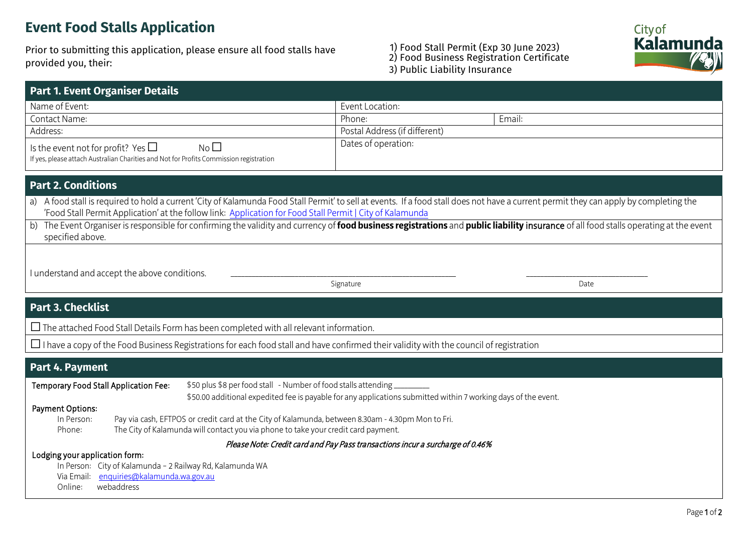# **Event Food Stalls Application**

Prior to submitting this application, please ensure all food stalls have provided you, their:

### 1) Food Stall Permit (Exp 30 June 2023) 2) Food Business Registration Certificate 3) Public Liability Insurance



| <b>Part 1. Event Organiser Details</b>                                                                                                               |                               |        |  |  |  |  |  |
|------------------------------------------------------------------------------------------------------------------------------------------------------|-------------------------------|--------|--|--|--|--|--|
| Name of Event:                                                                                                                                       | Event Location:               |        |  |  |  |  |  |
| Contact Name:                                                                                                                                        | Phone:                        | Email: |  |  |  |  |  |
| Address:                                                                                                                                             | Postal Address (if different) |        |  |  |  |  |  |
| Is the event not for profit? Yes $\Box$<br>No <sub>1</sub><br>If yes, please attach Australian Charities and Not for Profits Commission registration | Dates of operation:           |        |  |  |  |  |  |
| <b>Part 2. Conditions</b>                                                                                                                            |                               |        |  |  |  |  |  |

a) A food stall is required to hold a current 'City of Kalamunda Food Stall Permit' to sell at events. If a food stall does not have a current permit they can apply by completing the 'Food Stall Permit Application' at the follow link: [Application](https://kalamunda.wa.gov.au/food-stall-permit) for Food Stall Permit | City of Kalamunda

b) The Event Organiser is responsible for confirming the validity and currency of **food business registrations** and **public liability** insurance of all food stalls operating at the event specified above.

I understand and accept the above conditions.

Signature Date **Date** 

## **Part 3. Checklist**

 $\Box$  The attached Food Stall Details Form has been completed with all relevant information.

 $\Box$  I have a copy of the Food Business Registrations for each food stall and have confirmed their validity with the council of registration

## **Part 4. Payment**

Temporary Food Stall Application Fee: \$50 plus \$8 per food stall - Number of food stalls attending \_\_\_\_\_\_\_\_\_\_\_

\$50.00 additional expedited fee is payable for any applications submitted within 7 working days of the event.

### Payment Options:

| In Person: | Pay via cash, EFTPOS or credit card at the City of Kalamunda, between 8.30am - 4.30pm Mon to Fri. |
|------------|---------------------------------------------------------------------------------------------------|
| Phone:     | The City of Kalamunda will contact you via phone to take your credit card payment.                |

Please Note: Credit card and Pay Pass transactions incur a surcharge of 0.46%

#### Lodging your application form:

In Person: City of Kalamunda – 2 Railway Rd, Kalamunda WA Via Email: [enquiries@kalamunda.wa.gov.au](mailto:enquiries@kalamunda.wa.gov.au) Online: webaddress